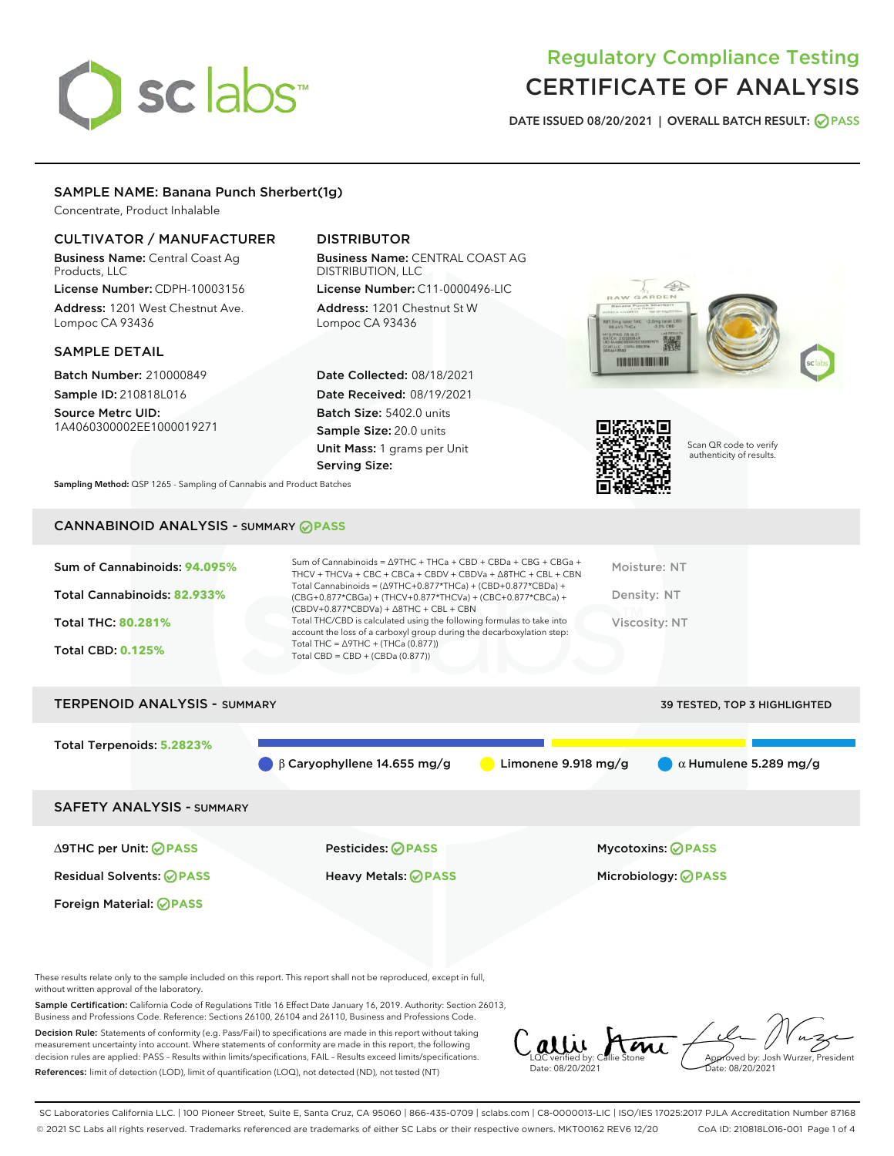# sclabs<sup>\*</sup>

# Regulatory Compliance Testing CERTIFICATE OF ANALYSIS

DATE ISSUED 08/20/2021 | OVERALL BATCH RESULT: @ PASS

# SAMPLE NAME: Banana Punch Sherbert(1g)

Concentrate, Product Inhalable

# CULTIVATOR / MANUFACTURER

Business Name: Central Coast Ag Products, LLC

License Number: CDPH-10003156 Address: 1201 West Chestnut Ave. Lompoc CA 93436

# SAMPLE DETAIL

Batch Number: 210000849 Sample ID: 210818L016

Source Metrc UID: 1A4060300002EE1000019271

# DISTRIBUTOR

Business Name: CENTRAL COAST AG DISTRIBUTION, LLC License Number: C11-0000496-LIC

Address: 1201 Chestnut St W Lompoc CA 93436

Date Collected: 08/18/2021 Date Received: 08/19/2021 Batch Size: 5402.0 units Sample Size: 20.0 units Unit Mass: 1 grams per Unit Serving Size:





Scan QR code to verify authenticity of results.

Sampling Method: QSP 1265 - Sampling of Cannabis and Product Batches

# CANNABINOID ANALYSIS - SUMMARY **PASS**

| Sum of Cannabinoids: 94.095% | Sum of Cannabinoids = $\triangle$ 9THC + THCa + CBD + CBDa + CBG + CBGa +<br>THCV + THCVa + CBC + CBCa + CBDV + CBDVa + $\Delta$ 8THC + CBL + CBN                                    | Moisture: NT  |
|------------------------------|--------------------------------------------------------------------------------------------------------------------------------------------------------------------------------------|---------------|
| Total Cannabinoids: 82.933%  | Total Cannabinoids = $(\Delta$ 9THC+0.877*THCa) + (CBD+0.877*CBDa) +<br>(CBG+0.877*CBGa) + (THCV+0.877*THCVa) + (CBC+0.877*CBCa) +<br>$(CBDV+0.877*CBDVa) + \Delta 8THC + CBL + CBN$ | Density: NT   |
| <b>Total THC: 80.281%</b>    | Total THC/CBD is calculated using the following formulas to take into<br>account the loss of a carboxyl group during the decarboxylation step:                                       | Viscosity: NT |
| <b>Total CBD: 0.125%</b>     | Total THC = $\triangle$ 9THC + (THCa (0.877))<br>Total CBD = $CBD + (CBDa (0.877))$                                                                                                  |               |
|                              |                                                                                                                                                                                      |               |

| <b>TERPENOID ANALYSIS - SUMMARY</b> |                                   |                               | 39 TESTED, TOP 3 HIGHLIGHTED |
|-------------------------------------|-----------------------------------|-------------------------------|------------------------------|
| Total Terpenoids: 5.2823%           |                                   |                               |                              |
|                                     | $\beta$ Caryophyllene 14.655 mg/g | Limonene $9.918 \text{ mg/g}$ | $\alpha$ Humulene 5.289 mg/g |
| <b>SAFETY ANALYSIS - SUMMARY</b>    |                                   |                               |                              |
|                                     |                                   |                               |                              |

Foreign Material: **PASS**

∆9THC per Unit: **PASS** Pesticides: **PASS** Mycotoxins: **PASS**

Residual Solvents: **PASS** Heavy Metals: **PASS** Microbiology: **PASS**

These results relate only to the sample included on this report. This report shall not be reproduced, except in full, without written approval of the laboratory.

Sample Certification: California Code of Regulations Title 16 Effect Date January 16, 2019. Authority: Section 26013, Business and Professions Code. Reference: Sections 26100, 26104 and 26110, Business and Professions Code.

Decision Rule: Statements of conformity (e.g. Pass/Fail) to specifications are made in this report without taking measurement uncertainty into account. Where statements of conformity are made in this report, the following decision rules are applied: PASS – Results within limits/specifications, FAIL – Results exceed limits/specifications. References: limit of detection (LOD), limit of quantification (LOQ), not detected (ND), not tested (NT)

LQC verified by: Callie Stone<br>Date: 08/20/2021 Approved by: Josh Wurzer, President Date: 08/20/2021

SC Laboratories California LLC. | 100 Pioneer Street, Suite E, Santa Cruz, CA 95060 | 866-435-0709 | sclabs.com | C8-0000013-LIC | ISO/IES 17025:2017 PJLA Accreditation Number 87168 © 2021 SC Labs all rights reserved. Trademarks referenced are trademarks of either SC Labs or their respective owners. MKT00162 REV6 12/20 CoA ID: 210818L016-001 Page 1 of 4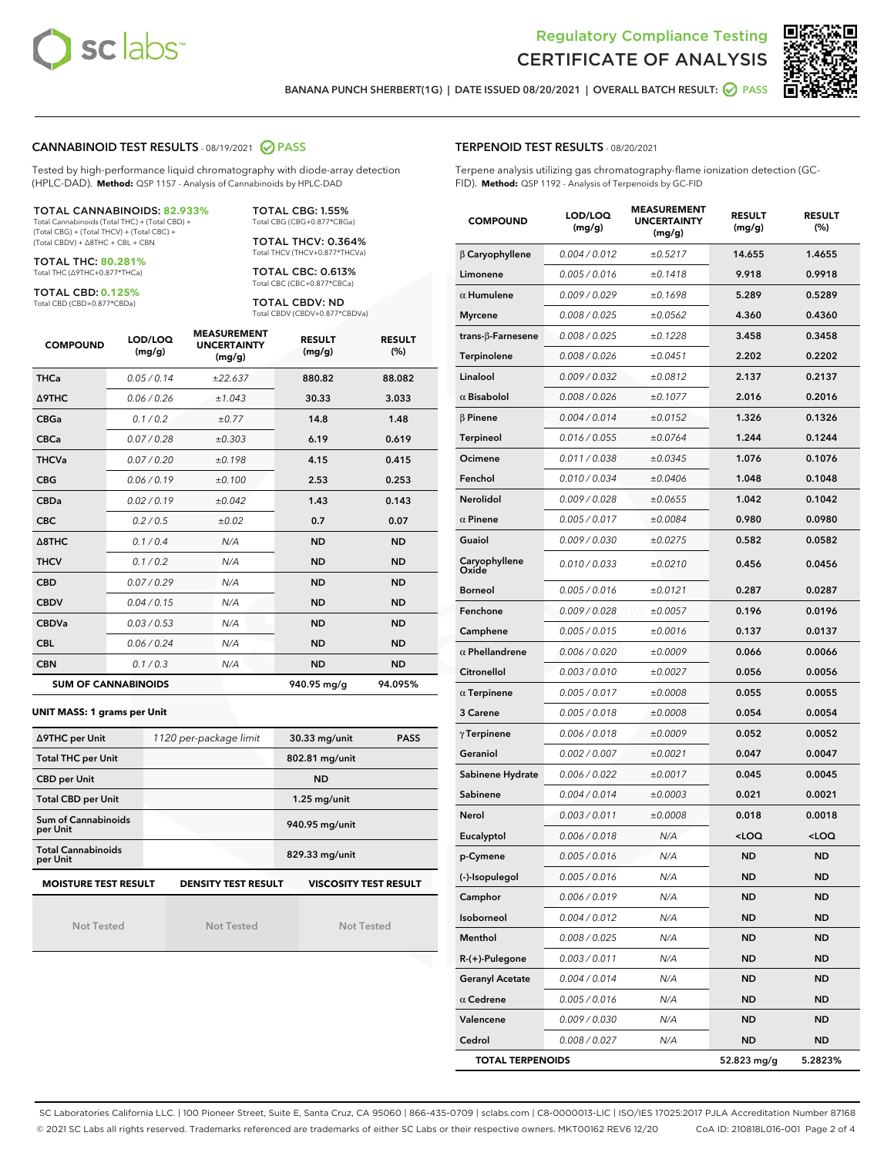



BANANA PUNCH SHERBERT(1G) | DATE ISSUED 08/20/2021 | OVERALL BATCH RESULT: @ PASS

#### CANNABINOID TEST RESULTS - 08/19/2021 2 PASS

Tested by high-performance liquid chromatography with diode-array detection (HPLC-DAD). **Method:** QSP 1157 - Analysis of Cannabinoids by HPLC-DAD

#### TOTAL CANNABINOIDS: **82.933%**

Total Cannabinoids (Total THC) + (Total CBD) + (Total CBG) + (Total THCV) + (Total CBC) + (Total CBDV) + ∆8THC + CBL + CBN

TOTAL THC: **80.281%** Total THC (∆9THC+0.877\*THCa)

TOTAL CBD: **0.125%**

Total CBD (CBD+0.877\*CBDa)

TOTAL CBG: 1.55% Total CBG (CBG+0.877\*CBGa)

TOTAL THCV: 0.364% Total THCV (THCV+0.877\*THCVa)

TOTAL CBC: 0.613% Total CBC (CBC+0.877\*CBCa)

TOTAL CBDV: ND Total CBDV (CBDV+0.877\*CBDVa)

| <b>COMPOUND</b>  | LOD/LOQ<br>(mg/g)          | <b>MEASUREMENT</b><br><b>UNCERTAINTY</b><br>(mg/g) | <b>RESULT</b><br>(mg/g) | <b>RESULT</b><br>(%) |
|------------------|----------------------------|----------------------------------------------------|-------------------------|----------------------|
| <b>THCa</b>      | 0.05/0.14                  | ±22.637                                            | 880.82                  | 88.082               |
| <b>A9THC</b>     | 0.06 / 0.26                | ±1.043                                             | 30.33                   | 3.033                |
| <b>CBGa</b>      | 0.1 / 0.2                  | ±0.77                                              | 14.8                    | 1.48                 |
| <b>CBCa</b>      | 0.07/0.28                  | ±0.303                                             | 6.19                    | 0.619                |
| <b>THCVa</b>     | 0.07/0.20                  | ±0.198                                             | 4.15                    | 0.415                |
| <b>CBG</b>       | 0.06/0.19                  | ±0.100                                             | 2.53                    | 0.253                |
| <b>CBDa</b>      | 0.02/0.19                  | ±0.042                                             | 1.43                    | 0.143                |
| <b>CBC</b>       | 0.2 / 0.5                  | ±0.02                                              | 0.7                     | 0.07                 |
| $\triangle$ 8THC | 0.1/0.4                    | N/A                                                | <b>ND</b>               | <b>ND</b>            |
| <b>THCV</b>      | 0.1/0.2                    | N/A                                                | <b>ND</b>               | <b>ND</b>            |
| <b>CBD</b>       | 0.07/0.29                  | N/A                                                | <b>ND</b>               | <b>ND</b>            |
| <b>CBDV</b>      | 0.04 / 0.15                | N/A                                                | <b>ND</b>               | <b>ND</b>            |
| <b>CBDVa</b>     | 0.03/0.53                  | N/A                                                | <b>ND</b>               | <b>ND</b>            |
| <b>CBL</b>       | 0.06 / 0.24                | N/A                                                | <b>ND</b>               | <b>ND</b>            |
| <b>CBN</b>       | 0.1/0.3                    | N/A                                                | <b>ND</b>               | <b>ND</b>            |
|                  | <b>SUM OF CANNABINOIDS</b> |                                                    | 940.95 mg/g             | 94.095%              |

#### **UNIT MASS: 1 grams per Unit**

| ∆9THC per Unit                                                                            | 1120 per-package limit | 30.33 mg/unit<br><b>PASS</b> |  |  |
|-------------------------------------------------------------------------------------------|------------------------|------------------------------|--|--|
| <b>Total THC per Unit</b>                                                                 |                        | 802.81 mg/unit               |  |  |
| <b>CBD</b> per Unit                                                                       |                        | <b>ND</b>                    |  |  |
| <b>Total CBD per Unit</b>                                                                 |                        | $1.25$ mg/unit               |  |  |
| Sum of Cannabinoids<br>per Unit                                                           |                        | 940.95 mg/unit               |  |  |
| <b>Total Cannabinoids</b><br>per Unit                                                     |                        | 829.33 mg/unit               |  |  |
| <b>MOISTURE TEST RESULT</b><br><b>VISCOSITY TEST RESULT</b><br><b>DENSITY TEST RESULT</b> |                        |                              |  |  |

Not Tested

Not Tested

Not Tested

#### TERPENOID TEST RESULTS - 08/20/2021

Terpene analysis utilizing gas chromatography-flame ionization detection (GC-FID). **Method:** QSP 1192 - Analysis of Terpenoids by GC-FID

| <b>COMPOUND</b>           | LOD/LOQ<br>(mg/g) | <b>MEASUREMENT</b><br><b>UNCERTAINTY</b><br>(mg/g) | <b>RESULT</b><br>(mg/g)                         | <b>RESULT</b><br>(%) |
|---------------------------|-------------------|----------------------------------------------------|-------------------------------------------------|----------------------|
| β Caryophyllene           | 0.004 / 0.012     | ±0.5217                                            | 14.655                                          | 1.4655               |
| Limonene                  | 0.005 / 0.016     | ±0.1418                                            | 9.918                                           | 0.9918               |
| $\alpha$ Humulene         | 0.009/0.029       | ±0.1698                                            | 5.289                                           | 0.5289               |
| <b>Myrcene</b>            | 0.008 / 0.025     | ±0.0562                                            | 4.360                                           | 0.4360               |
| trans- $\beta$ -Farnesene | 0.008 / 0.025     | ±0.1228                                            | 3.458                                           | 0.3458               |
| Terpinolene               | 0.008 / 0.026     | ±0.0451                                            | 2.202                                           | 0.2202               |
| Linalool                  | 0.009 / 0.032     | ±0.0812                                            | 2.137                                           | 0.2137               |
| $\alpha$ Bisabolol        | 0.008 / 0.026     | ±0.1077                                            | 2.016                                           | 0.2016               |
| $\beta$ Pinene            | 0.004 / 0.014     | ±0.0152                                            | 1.326                                           | 0.1326               |
| Terpineol                 | 0.016 / 0.055     | ±0.0764                                            | 1.244                                           | 0.1244               |
| Ocimene                   | 0.011 / 0.038     | ±0.0345                                            | 1.076                                           | 0.1076               |
| Fenchol                   | 0.010 / 0.034     | ±0.0406                                            | 1.048                                           | 0.1048               |
| Nerolidol                 | 0.009 / 0.028     | ±0.0655                                            | 1.042                                           | 0.1042               |
| $\alpha$ Pinene           | 0.005 / 0.017     | ±0.0084                                            | 0.980                                           | 0.0980               |
| Guaiol                    | 0.009 / 0.030     | ±0.0275                                            | 0.582                                           | 0.0582               |
| Caryophyllene<br>Oxide    | 0.010 / 0.033     | ±0.0210                                            | 0.456                                           | 0.0456               |
| <b>Borneol</b>            | 0.005 / 0.016     | ±0.0121                                            | 0.287                                           | 0.0287               |
| Fenchone                  | 0.009 / 0.028     | ±0.0057                                            | 0.196                                           | 0.0196               |
| Camphene                  | 0.005 / 0.015     | ±0.0016                                            | 0.137                                           | 0.0137               |
| $\alpha$ Phellandrene     | 0.006 / 0.020     | ±0.0009                                            | 0.066                                           | 0.0066               |
| Citronellol               | 0.003 / 0.010     | ±0.0027                                            | 0.056                                           | 0.0056               |
| $\alpha$ Terpinene        | 0.005 / 0.017     | ±0.0008                                            | 0.055                                           | 0.0055               |
| 3 Carene                  | 0.005 / 0.018     | ±0.0008                                            | 0.054                                           | 0.0054               |
| $\gamma$ Terpinene        | 0.006 / 0.018     | ±0.0009                                            | 0.052                                           | 0.0052               |
| Geraniol                  | 0.002 / 0.007     | ±0.0021                                            | 0.047                                           | 0.0047               |
| Sabinene Hydrate          | 0.006 / 0.022     | ±0.0017                                            | 0.045                                           | 0.0045               |
| Sabinene                  | 0.004 / 0.014     | ±0.0003                                            | 0.021                                           | 0.0021               |
| Nerol                     | 0.003 / 0.011     | ±0.0008                                            | 0.018                                           | 0.0018               |
| Eucalyptol                | 0.006 / 0.018     | N/A                                                | <loq< th=""><th><loq< th=""></loq<></th></loq<> | <loq< th=""></loq<>  |
| p-Cymene                  | 0.005 / 0.016     | N/A                                                | ND                                              | ND                   |
| (-)-Isopulegol            | 0.005 / 0.016     | N/A                                                | ND                                              | <b>ND</b>            |
| Camphor                   | 0.006 / 0.019     | N/A                                                | <b>ND</b>                                       | ND                   |
| Isoborneol                | 0.004 / 0.012     | N/A                                                | ND                                              | <b>ND</b>            |
| Menthol                   | 0.008 / 0.025     | N/A                                                | <b>ND</b>                                       | <b>ND</b>            |
| R-(+)-Pulegone            | 0.003 / 0.011     | N/A                                                | ND                                              | ND                   |
| <b>Geranyl Acetate</b>    | 0.004 / 0.014     | N/A                                                | ND                                              | ND                   |
| $\alpha$ Cedrene          | 0.005 / 0.016     | N/A                                                | ND                                              | <b>ND</b>            |
| Valencene                 | 0.009 / 0.030     | N/A                                                | ND                                              | ND                   |
| Cedrol                    | 0.008 / 0.027     | N/A                                                | ND                                              | <b>ND</b>            |
| <b>TOTAL TERPENOIDS</b>   |                   |                                                    | 52.823 mg/g                                     | 5.2823%              |

SC Laboratories California LLC. | 100 Pioneer Street, Suite E, Santa Cruz, CA 95060 | 866-435-0709 | sclabs.com | C8-0000013-LIC | ISO/IES 17025:2017 PJLA Accreditation Number 87168 © 2021 SC Labs all rights reserved. Trademarks referenced are trademarks of either SC Labs or their respective owners. MKT00162 REV6 12/20 CoA ID: 210818L016-001 Page 2 of 4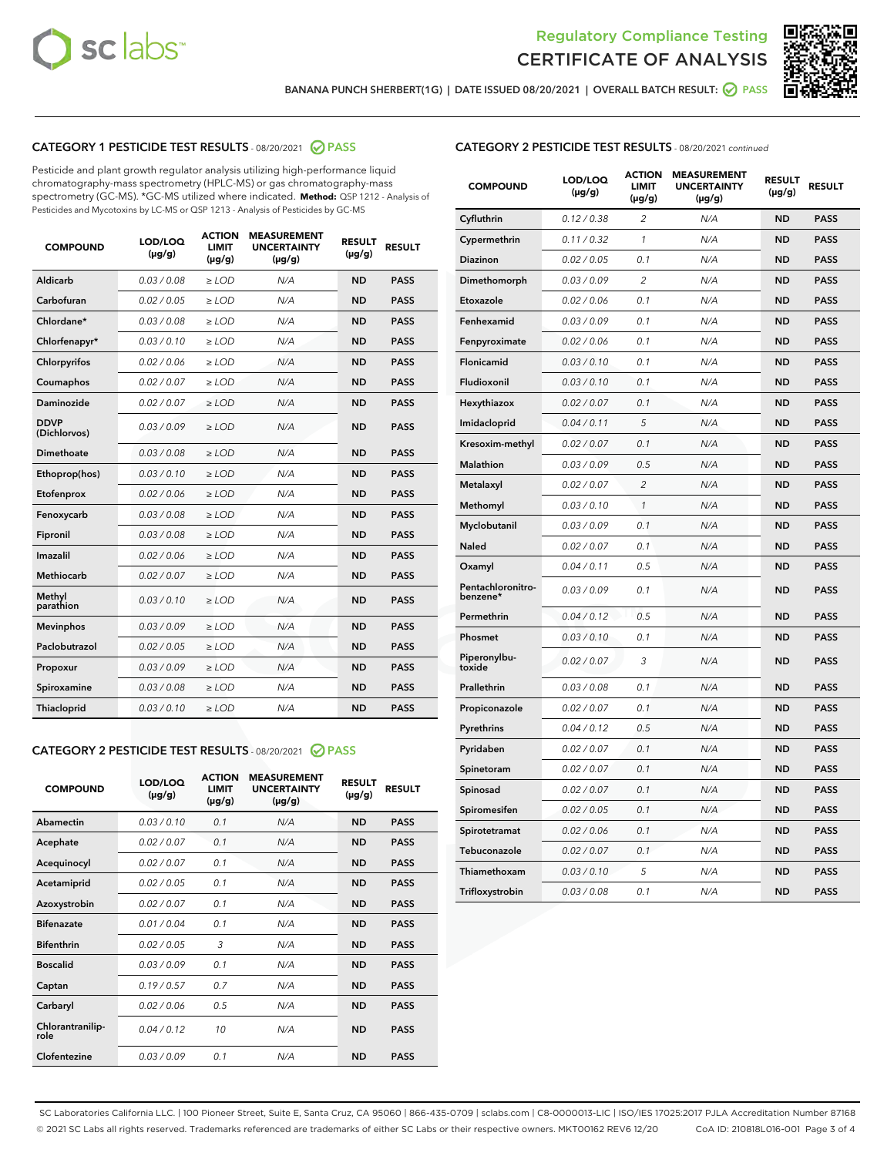



BANANA PUNCH SHERBERT(1G) | DATE ISSUED 08/20/2021 | OVERALL BATCH RESULT: @ PASS

# CATEGORY 1 PESTICIDE TEST RESULTS - 08/20/2021 2 PASS

Pesticide and plant growth regulator analysis utilizing high-performance liquid chromatography-mass spectrometry (HPLC-MS) or gas chromatography-mass spectrometry (GC-MS). \*GC-MS utilized where indicated. **Method:** QSP 1212 - Analysis of Pesticides and Mycotoxins by LC-MS or QSP 1213 - Analysis of Pesticides by GC-MS

| 0.03 / 0.08<br>Aldicarb<br>$\ge$ LOD<br>N/A<br><b>ND</b><br><b>PASS</b><br>Carbofuran<br>0.02 / 0.05<br>N/A<br><b>ND</b><br><b>PASS</b><br>$\ge$ LOD<br>Chlordane*<br>0.03 / 0.08<br>$>$ LOD<br>N/A<br><b>ND</b><br><b>PASS</b><br>Chlorfenapyr*<br>0.03/0.10<br>$\ge$ LOD<br>N/A<br><b>ND</b><br><b>PASS</b><br>N/A<br><b>PASS</b><br>Chlorpyrifos<br>0.02 / 0.06<br>$\ge$ LOD<br><b>ND</b><br>0.02 / 0.07<br>N/A<br><b>ND</b><br><b>PASS</b><br>Coumaphos<br>$\geq$ LOD<br>Daminozide<br>0.02 / 0.07<br>$>$ LOD<br>N/A<br><b>ND</b><br><b>PASS</b><br><b>DDVP</b><br>0.03/0.09<br>$>$ LOD<br>N/A<br><b>PASS</b><br><b>ND</b><br>(Dichlorvos)<br>Dimethoate<br>0.03 / 0.08<br>$\ge$ LOD<br>N/A<br><b>ND</b><br><b>PASS</b><br><b>PASS</b><br>0.03/0.10<br>N/A<br><b>ND</b><br>Ethoprop(hos)<br>> LOD<br>N/A<br><b>ND</b><br><b>PASS</b><br>Etofenprox<br>0.02 / 0.06<br>$\ge$ LOD<br>0.03 / 0.08<br>$\ge$ LOD<br>N/A<br><b>ND</b><br><b>PASS</b><br>Fenoxycarb<br>0.03/0.08<br>$>$ LOD<br>N/A<br><b>ND</b><br><b>PASS</b><br>Fipronil<br>Imazalil<br>0.02 / 0.06<br>N/A<br><b>ND</b><br><b>PASS</b><br>$\geq$ LOD<br><b>PASS</b><br>Methiocarb<br>0.02 / 0.07<br>$\ge$ LOD<br>N/A<br><b>ND</b><br>Methyl<br>0.03/0.10<br>N/A<br><b>ND</b><br>$\geq$ LOD<br><b>PASS</b><br>parathion<br>0.03/0.09<br><b>ND</b><br><b>Mevinphos</b><br>$\geq$ LOD<br>N/A<br><b>PASS</b><br>Paclobutrazol<br>0.02 / 0.05<br>$\geq$ LOD<br>N/A<br><b>ND</b><br><b>PASS</b><br>0.03 / 0.09<br>N/A<br><b>ND</b><br><b>PASS</b><br>$\ge$ LOD<br>Propoxur<br>0.03 / 0.08<br>N/A<br><b>ND</b><br><b>PASS</b><br>Spiroxamine<br>$\geq$ LOD<br>0.03/0.10<br>N/A<br><b>ND</b><br><b>PASS</b><br>Thiacloprid<br>$\geq$ LOD | <b>COMPOUND</b> | LOD/LOQ<br>$(\mu g/g)$ | <b>ACTION</b><br><b>LIMIT</b><br>$(\mu g/g)$ | <b>MEASUREMENT</b><br><b>UNCERTAINTY</b><br>$(\mu g/g)$ | <b>RESULT</b><br>$(\mu g/g)$ | <b>RESULT</b> |
|------------------------------------------------------------------------------------------------------------------------------------------------------------------------------------------------------------------------------------------------------------------------------------------------------------------------------------------------------------------------------------------------------------------------------------------------------------------------------------------------------------------------------------------------------------------------------------------------------------------------------------------------------------------------------------------------------------------------------------------------------------------------------------------------------------------------------------------------------------------------------------------------------------------------------------------------------------------------------------------------------------------------------------------------------------------------------------------------------------------------------------------------------------------------------------------------------------------------------------------------------------------------------------------------------------------------------------------------------------------------------------------------------------------------------------------------------------------------------------------------------------------------------------------------------------------------------------------------------------------------------------------------------------------------------------------------|-----------------|------------------------|----------------------------------------------|---------------------------------------------------------|------------------------------|---------------|
|                                                                                                                                                                                                                                                                                                                                                                                                                                                                                                                                                                                                                                                                                                                                                                                                                                                                                                                                                                                                                                                                                                                                                                                                                                                                                                                                                                                                                                                                                                                                                                                                                                                                                                |                 |                        |                                              |                                                         |                              |               |
|                                                                                                                                                                                                                                                                                                                                                                                                                                                                                                                                                                                                                                                                                                                                                                                                                                                                                                                                                                                                                                                                                                                                                                                                                                                                                                                                                                                                                                                                                                                                                                                                                                                                                                |                 |                        |                                              |                                                         |                              |               |
|                                                                                                                                                                                                                                                                                                                                                                                                                                                                                                                                                                                                                                                                                                                                                                                                                                                                                                                                                                                                                                                                                                                                                                                                                                                                                                                                                                                                                                                                                                                                                                                                                                                                                                |                 |                        |                                              |                                                         |                              |               |
|                                                                                                                                                                                                                                                                                                                                                                                                                                                                                                                                                                                                                                                                                                                                                                                                                                                                                                                                                                                                                                                                                                                                                                                                                                                                                                                                                                                                                                                                                                                                                                                                                                                                                                |                 |                        |                                              |                                                         |                              |               |
|                                                                                                                                                                                                                                                                                                                                                                                                                                                                                                                                                                                                                                                                                                                                                                                                                                                                                                                                                                                                                                                                                                                                                                                                                                                                                                                                                                                                                                                                                                                                                                                                                                                                                                |                 |                        |                                              |                                                         |                              |               |
|                                                                                                                                                                                                                                                                                                                                                                                                                                                                                                                                                                                                                                                                                                                                                                                                                                                                                                                                                                                                                                                                                                                                                                                                                                                                                                                                                                                                                                                                                                                                                                                                                                                                                                |                 |                        |                                              |                                                         |                              |               |
|                                                                                                                                                                                                                                                                                                                                                                                                                                                                                                                                                                                                                                                                                                                                                                                                                                                                                                                                                                                                                                                                                                                                                                                                                                                                                                                                                                                                                                                                                                                                                                                                                                                                                                |                 |                        |                                              |                                                         |                              |               |
|                                                                                                                                                                                                                                                                                                                                                                                                                                                                                                                                                                                                                                                                                                                                                                                                                                                                                                                                                                                                                                                                                                                                                                                                                                                                                                                                                                                                                                                                                                                                                                                                                                                                                                |                 |                        |                                              |                                                         |                              |               |
|                                                                                                                                                                                                                                                                                                                                                                                                                                                                                                                                                                                                                                                                                                                                                                                                                                                                                                                                                                                                                                                                                                                                                                                                                                                                                                                                                                                                                                                                                                                                                                                                                                                                                                |                 |                        |                                              |                                                         |                              |               |
|                                                                                                                                                                                                                                                                                                                                                                                                                                                                                                                                                                                                                                                                                                                                                                                                                                                                                                                                                                                                                                                                                                                                                                                                                                                                                                                                                                                                                                                                                                                                                                                                                                                                                                |                 |                        |                                              |                                                         |                              |               |
|                                                                                                                                                                                                                                                                                                                                                                                                                                                                                                                                                                                                                                                                                                                                                                                                                                                                                                                                                                                                                                                                                                                                                                                                                                                                                                                                                                                                                                                                                                                                                                                                                                                                                                |                 |                        |                                              |                                                         |                              |               |
|                                                                                                                                                                                                                                                                                                                                                                                                                                                                                                                                                                                                                                                                                                                                                                                                                                                                                                                                                                                                                                                                                                                                                                                                                                                                                                                                                                                                                                                                                                                                                                                                                                                                                                |                 |                        |                                              |                                                         |                              |               |
|                                                                                                                                                                                                                                                                                                                                                                                                                                                                                                                                                                                                                                                                                                                                                                                                                                                                                                                                                                                                                                                                                                                                                                                                                                                                                                                                                                                                                                                                                                                                                                                                                                                                                                |                 |                        |                                              |                                                         |                              |               |
|                                                                                                                                                                                                                                                                                                                                                                                                                                                                                                                                                                                                                                                                                                                                                                                                                                                                                                                                                                                                                                                                                                                                                                                                                                                                                                                                                                                                                                                                                                                                                                                                                                                                                                |                 |                        |                                              |                                                         |                              |               |
|                                                                                                                                                                                                                                                                                                                                                                                                                                                                                                                                                                                                                                                                                                                                                                                                                                                                                                                                                                                                                                                                                                                                                                                                                                                                                                                                                                                                                                                                                                                                                                                                                                                                                                |                 |                        |                                              |                                                         |                              |               |
|                                                                                                                                                                                                                                                                                                                                                                                                                                                                                                                                                                                                                                                                                                                                                                                                                                                                                                                                                                                                                                                                                                                                                                                                                                                                                                                                                                                                                                                                                                                                                                                                                                                                                                |                 |                        |                                              |                                                         |                              |               |
|                                                                                                                                                                                                                                                                                                                                                                                                                                                                                                                                                                                                                                                                                                                                                                                                                                                                                                                                                                                                                                                                                                                                                                                                                                                                                                                                                                                                                                                                                                                                                                                                                                                                                                |                 |                        |                                              |                                                         |                              |               |
|                                                                                                                                                                                                                                                                                                                                                                                                                                                                                                                                                                                                                                                                                                                                                                                                                                                                                                                                                                                                                                                                                                                                                                                                                                                                                                                                                                                                                                                                                                                                                                                                                                                                                                |                 |                        |                                              |                                                         |                              |               |
|                                                                                                                                                                                                                                                                                                                                                                                                                                                                                                                                                                                                                                                                                                                                                                                                                                                                                                                                                                                                                                                                                                                                                                                                                                                                                                                                                                                                                                                                                                                                                                                                                                                                                                |                 |                        |                                              |                                                         |                              |               |
|                                                                                                                                                                                                                                                                                                                                                                                                                                                                                                                                                                                                                                                                                                                                                                                                                                                                                                                                                                                                                                                                                                                                                                                                                                                                                                                                                                                                                                                                                                                                                                                                                                                                                                |                 |                        |                                              |                                                         |                              |               |
|                                                                                                                                                                                                                                                                                                                                                                                                                                                                                                                                                                                                                                                                                                                                                                                                                                                                                                                                                                                                                                                                                                                                                                                                                                                                                                                                                                                                                                                                                                                                                                                                                                                                                                |                 |                        |                                              |                                                         |                              |               |

#### CATEGORY 2 PESTICIDE TEST RESULTS - 08/20/2021 @ PASS

| <b>COMPOUND</b>          | LOD/LOQ<br>$(\mu g/g)$ | <b>ACTION</b><br><b>LIMIT</b><br>$(\mu g/g)$ | <b>MEASUREMENT</b><br><b>UNCERTAINTY</b><br>$(\mu g/g)$ | <b>RESULT</b><br>$(\mu g/g)$ | <b>RESULT</b> |
|--------------------------|------------------------|----------------------------------------------|---------------------------------------------------------|------------------------------|---------------|
| Abamectin                | 0.03/0.10              | 0.1                                          | N/A                                                     | <b>ND</b>                    | <b>PASS</b>   |
| Acephate                 | 0.02/0.07              | 0.1                                          | N/A                                                     | <b>ND</b>                    | <b>PASS</b>   |
| Acequinocyl              | 0.02/0.07              | 0.1                                          | N/A                                                     | <b>ND</b>                    | <b>PASS</b>   |
| Acetamiprid              | 0.02/0.05              | 0.1                                          | N/A                                                     | <b>ND</b>                    | <b>PASS</b>   |
| Azoxystrobin             | 0.02/0.07              | 0.1                                          | N/A                                                     | <b>ND</b>                    | <b>PASS</b>   |
| <b>Bifenazate</b>        | 0.01/0.04              | 0.1                                          | N/A                                                     | <b>ND</b>                    | <b>PASS</b>   |
| <b>Bifenthrin</b>        | 0.02/0.05              | 3                                            | N/A                                                     | <b>ND</b>                    | <b>PASS</b>   |
| <b>Boscalid</b>          | 0.03/0.09              | 0.1                                          | N/A                                                     | <b>ND</b>                    | <b>PASS</b>   |
| Captan                   | 0.19/0.57              | 0.7                                          | N/A                                                     | <b>ND</b>                    | <b>PASS</b>   |
| Carbaryl                 | 0.02/0.06              | 0.5                                          | N/A                                                     | <b>ND</b>                    | <b>PASS</b>   |
| Chlorantranilip-<br>role | 0.04/0.12              | 10                                           | N/A                                                     | <b>ND</b>                    | <b>PASS</b>   |
| Clofentezine             | 0.03/0.09              | 0.1                                          | N/A                                                     | <b>ND</b>                    | <b>PASS</b>   |

# CATEGORY 2 PESTICIDE TEST RESULTS - 08/20/2021 continued

| <b>COMPOUND</b>               | LOD/LOQ<br>(µg/g) | <b>ACTION</b><br><b>LIMIT</b><br>$(\mu g/g)$ | <b>MEASUREMENT</b><br><b>UNCERTAINTY</b><br>$(\mu g/g)$ | <b>RESULT</b><br>(µg/g) | <b>RESULT</b> |
|-------------------------------|-------------------|----------------------------------------------|---------------------------------------------------------|-------------------------|---------------|
| Cyfluthrin                    | 0.12 / 0.38       | $\overline{c}$                               | N/A                                                     | ND                      | <b>PASS</b>   |
| Cypermethrin                  | 0.11 / 0.32       | $\mathcal{I}$                                | N/A                                                     | ND                      | <b>PASS</b>   |
| <b>Diazinon</b>               | 0.02 / 0.05       | 0.1                                          | N/A                                                     | <b>ND</b>               | <b>PASS</b>   |
| Dimethomorph                  | 0.03 / 0.09       | 2                                            | N/A                                                     | ND                      | <b>PASS</b>   |
| Etoxazole                     | 0.02 / 0.06       | 0.1                                          | N/A                                                     | ND                      | <b>PASS</b>   |
| Fenhexamid                    | 0.03 / 0.09       | 0.1                                          | N/A                                                     | ND                      | <b>PASS</b>   |
| Fenpyroximate                 | 0.02 / 0.06       | 0.1                                          | N/A                                                     | <b>ND</b>               | <b>PASS</b>   |
| Flonicamid                    | 0.03 / 0.10       | 0.1                                          | N/A                                                     | ND                      | <b>PASS</b>   |
| Fludioxonil                   | 0.03 / 0.10       | 0.1                                          | N/A                                                     | ND                      | <b>PASS</b>   |
| Hexythiazox                   | 0.02 / 0.07       | 0.1                                          | N/A                                                     | ND                      | <b>PASS</b>   |
| Imidacloprid                  | 0.04 / 0.11       | 5                                            | N/A                                                     | ND                      | <b>PASS</b>   |
| Kresoxim-methyl               | 0.02 / 0.07       | 0.1                                          | N/A                                                     | ND                      | <b>PASS</b>   |
| Malathion                     | 0.03 / 0.09       | 0.5                                          | N/A                                                     | <b>ND</b>               | <b>PASS</b>   |
| Metalaxyl                     | 0.02 / 0.07       | $\overline{c}$                               | N/A                                                     | ND                      | <b>PASS</b>   |
| Methomyl                      | 0.03 / 0.10       | 1                                            | N/A                                                     | ND                      | <b>PASS</b>   |
| Myclobutanil                  | 0.03 / 0.09       | 0.1                                          | N/A                                                     | <b>ND</b>               | <b>PASS</b>   |
| Naled                         | 0.02 / 0.07       | 0.1                                          | N/A                                                     | ND                      | <b>PASS</b>   |
| Oxamyl                        | 0.04 / 0.11       | 0.5                                          | N/A                                                     | ND                      | <b>PASS</b>   |
| Pentachloronitro-<br>benzene* | 0.03 / 0.09       | 0.1                                          | N/A                                                     | ND                      | <b>PASS</b>   |
| Permethrin                    | 0.04 / 0.12       | 0.5                                          | N/A                                                     | ND                      | <b>PASS</b>   |
| Phosmet                       | 0.03 / 0.10       | 0.1                                          | N/A                                                     | ND                      | <b>PASS</b>   |
| Piperonylbu-<br>toxide        | 0.02 / 0.07       | 3                                            | N/A                                                     | ND                      | <b>PASS</b>   |
| Prallethrin                   | 0.03 / 0.08       | 0.1                                          | N/A                                                     | ND                      | <b>PASS</b>   |
| Propiconazole                 | 0.02 / 0.07       | 0.1                                          | N/A                                                     | ND                      | <b>PASS</b>   |
| Pyrethrins                    | 0.04 / 0.12       | 0.5                                          | N/A                                                     | ND                      | <b>PASS</b>   |
| Pyridaben                     | 0.02 / 0.07       | 0.1                                          | N/A                                                     | <b>ND</b>               | <b>PASS</b>   |
| Spinetoram                    | 0.02 / 0.07       | 0.1                                          | N/A                                                     | ND                      | <b>PASS</b>   |
| Spinosad                      | 0.02 / 0.07       | 0.1                                          | N/A                                                     | ND                      | <b>PASS</b>   |
| Spiromesifen                  | 0.02 / 0.05       | 0.1                                          | N/A                                                     | <b>ND</b>               | <b>PASS</b>   |
| Spirotetramat                 | 0.02 / 0.06       | 0.1                                          | N/A                                                     | ND                      | <b>PASS</b>   |
| Tebuconazole                  | 0.02 / 0.07       | 0.1                                          | N/A                                                     | ND                      | <b>PASS</b>   |
| Thiamethoxam                  | 0.03 / 0.10       | 5                                            | N/A                                                     | <b>ND</b>               | <b>PASS</b>   |
| Trifloxystrobin               | 0.03 / 0.08       | 0.1                                          | N/A                                                     | <b>ND</b>               | <b>PASS</b>   |

SC Laboratories California LLC. | 100 Pioneer Street, Suite E, Santa Cruz, CA 95060 | 866-435-0709 | sclabs.com | C8-0000013-LIC | ISO/IES 17025:2017 PJLA Accreditation Number 87168 © 2021 SC Labs all rights reserved. Trademarks referenced are trademarks of either SC Labs or their respective owners. MKT00162 REV6 12/20 CoA ID: 210818L016-001 Page 3 of 4